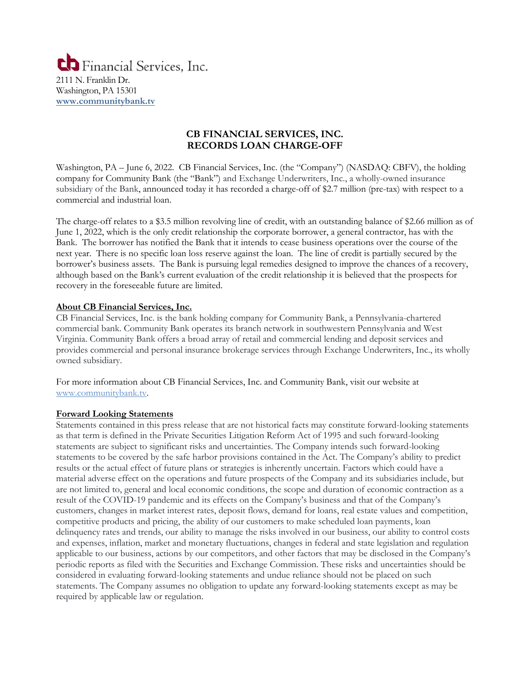

## **CB FINANCIAL SERVICES, INC. RECORDS LOAN CHARGE-OFF**

Washington, PA – June 6, 2022. CB Financial Services, Inc. (the "Company") (NASDAQ: CBFV), the holding company for Community Bank (the "Bank") and Exchange Underwriters, Inc., a wholly-owned insurance subsidiary of the Bank, announced today it has recorded a charge-off of \$2.7 million (pre-tax) with respect to a commercial and industrial loan.

The charge-off relates to a \$3.5 million revolving line of credit, with an outstanding balance of \$2.66 million as of June 1, 2022, which is the only credit relationship the corporate borrower, a general contractor, has with the Bank. The borrower has notified the Bank that it intends to cease business operations over the course of the next year. There is no specific loan loss reserve against the loan. The line of credit is partially secured by the borrower's business assets. The Bank is pursuing legal remedies designed to improve the chances of a recovery, although based on the Bank's current evaluation of the credit relationship it is believed that the prospects for recovery in the foreseeable future are limited.

## **About CB Financial Services, Inc.**

CB Financial Services, Inc. is the bank holding company for Community Bank, a Pennsylvania-chartered commercial bank. Community Bank operates its branch network in southwestern Pennsylvania and West Virginia. Community Bank offers a broad array of retail and commercial lending and deposit services and provides commercial and personal insurance brokerage services through Exchange Underwriters, Inc., its wholly owned subsidiary.

For more information about CB Financial Services, Inc. and Community Bank, visit our website at [www.communitybank.tv.](http://www.communitybank.tv/)

## **Forward Looking Statements**

Statements contained in this press release that are not historical facts may constitute forward-looking statements as that term is defined in the Private Securities Litigation Reform Act of 1995 and such forward-looking statements are subject to significant risks and uncertainties. The Company intends such forward-looking statements to be covered by the safe harbor provisions contained in the Act. The Company's ability to predict results or the actual effect of future plans or strategies is inherently uncertain. Factors which could have a material adverse effect on the operations and future prospects of the Company and its subsidiaries include, but are not limited to, general and local economic conditions, the scope and duration of economic contraction as a result of the COVID-19 pandemic and its effects on the Company's business and that of the Company's customers, changes in market interest rates, deposit flows, demand for loans, real estate values and competition, competitive products and pricing, the ability of our customers to make scheduled loan payments, loan delinquency rates and trends, our ability to manage the risks involved in our business, our ability to control costs and expenses, inflation, market and monetary fluctuations, changes in federal and state legislation and regulation applicable to our business, actions by our competitors, and other factors that may be disclosed in the Company's periodic reports as filed with the Securities and Exchange Commission. These risks and uncertainties should be considered in evaluating forward-looking statements and undue reliance should not be placed on such statements. The Company assumes no obligation to update any forward-looking statements except as may be required by applicable law or regulation.